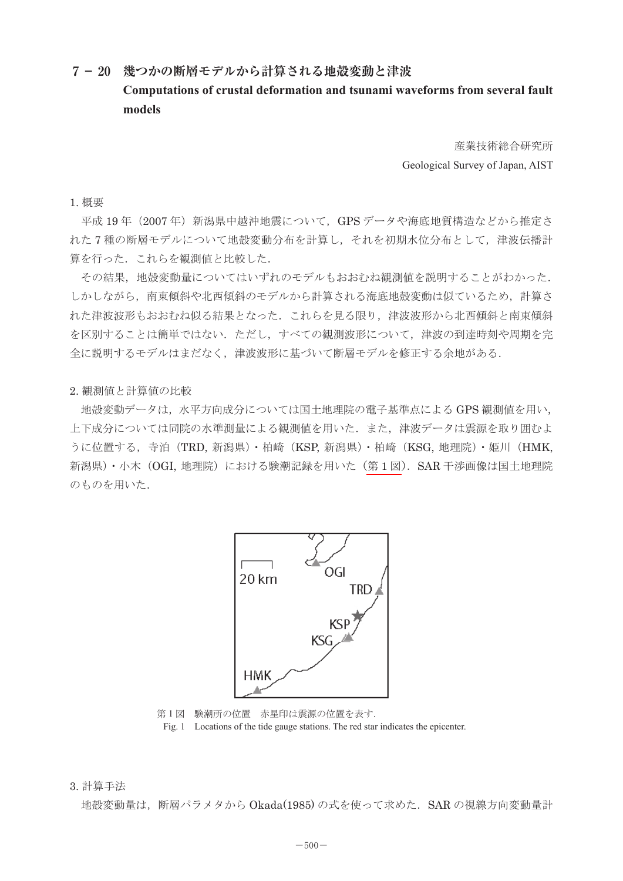# **7- 20 幾つかの断層モデルから計算される地殻変動と津波**

### **Computations of crustal deformation and tsunami waveforms from several fault models** ᵤᵄߣᄌേᲖࠆࠇߐ▚⸘ࠄ߆࡞࠺ࡕᢿጀߩ߆ߟᐞ

産業技術総合研究所 Geological Survey of Japan, AIST

1. 概要

平成 19年 (2007年) 新潟県中越沖地震について, GPS データや海底地質構造などから推定さ れた7種の断層モデルについて地殻変動分布を計算し、それを初期水位分布として、津波伝播計 算を行った.これらを観測値と比較した. .<br>11. أيضا المحمد المسلم. - ᐔᚑ 19 ᐕ㧔2007 ᐕ㧕ᣂẟ⋵ਛᴒ㔡ޔߡߟߦGPS ߿࠲࠺ᶏᐩ⾰᭴ㅧࠄ߆ߤߥ ޔߡߒߣಽᏓೋᦼ᳓ࠍࠇߘޔߒ▚⸘ࠍᄌേಽᏓᲖߡߟߦ࡞࠺ࡕᢿጀߩ⒳ 7 ߚࠇߐផቯ

 その結果,地殻変動量についてはいずれのモデルもおおむね観測値を説明することがわかった. しかしながら,南東傾斜や北西傾斜のモデルから計算される海底地殻変動は似ているため,計算さ れた津波波形もおおむね似る結果となった.これらを見る限り,津波波形から北西傾斜と南東傾斜 を区別することは簡単ではない.ただし,すべての観測波形について,津波の到達時刻や周期を完 全に説明するモデルはまだなく,津波波形に基づいて断層モデルを修正する余地がある. ޕߚߒセᲧߣ୯᷹ⷰࠍࠄࠇߎޕߚߞⴕࠍ▚⸘ᵤᵄવ ࠊ߇ߣߎࠆߔ⺑ࠍ୯᷹ⷰߨ߅߅߽࡞࠺ࡕߩࠇߕߪߡߟߦᄌേ㊂Ზޔᨐ⚿ߩߘ - <del>U</del> <del>U</del> TAN TRANS TRANS TRANS TRANS TRANS TRANS TRANS TRANS TRANS TRANS TRANS TRANS TRANS TRANS TRANS TRANS TRANS TRANS TRANS TRANS TRANS TRANS TRANS TRANS TRANS TRANS TRANS TRANS TRANS TRANS TRANS TRANS TRANS TRANS TRANS TRA  $\frac{1}{2}$ 

2. 観測値と計算値の比較

 地殻変動データは,水平方向成分については国土地理院の電子基準点による GPS 観測値を用い, 上下成分については同院の水準測量による観測値を用いた.また,津波データは震源を取り囲むよ 2. ᷹ⷰ୯ߣ▚⸘୯ߩᲧセ うに位置する, 寺泊 (TRD, 新潟県)・柏崎 (KSP, 新潟県)・柏崎 (KSG, 地理院)・姫川 (HMK, 新潟県)・小木(OGI, 地理院)における験潮記録を用いた(第1図).SAR 干渉画像は国土地理院 のものを用いた. - Ზᄌേޔߪ࠲࠺᳓ᐔᣇะᚑಽߪߡߟߦ࿖ℂ㒮ߩ㔚ሶၮḰὐࠆࠃߦ GPS ᷹ⷰ୯ ߪ࠲࠺ᵤᵄޔߚ߹ޕߚ↪ࠍ୯᷹ⷰࠆࠃߦ㊂᷹᳓Ḱߩห㒮ߪߡߟߦਅᚑಽޔ↪ࠍ 㔡Ḯࠍขࠅ࿐ߦ߁ࠃ⟎ޔࠆߔኹᴱ㧔TRD, ᣂẟ⋵㧕ᨰፒ㧔KSP, ᣂẟ⋵㧕ᨰፒ㧔KSG,



第 1 図 験潮所の位置 赤星印は震源の位置を表す.

Fig. 1 Locations of the tide gauge stations. The red star indicates the epicenter.

## 3. 計算手法

地殻変動量は,断層パラメタから Okada(1985) の式を使って求めた.SAR の視線方向変動量計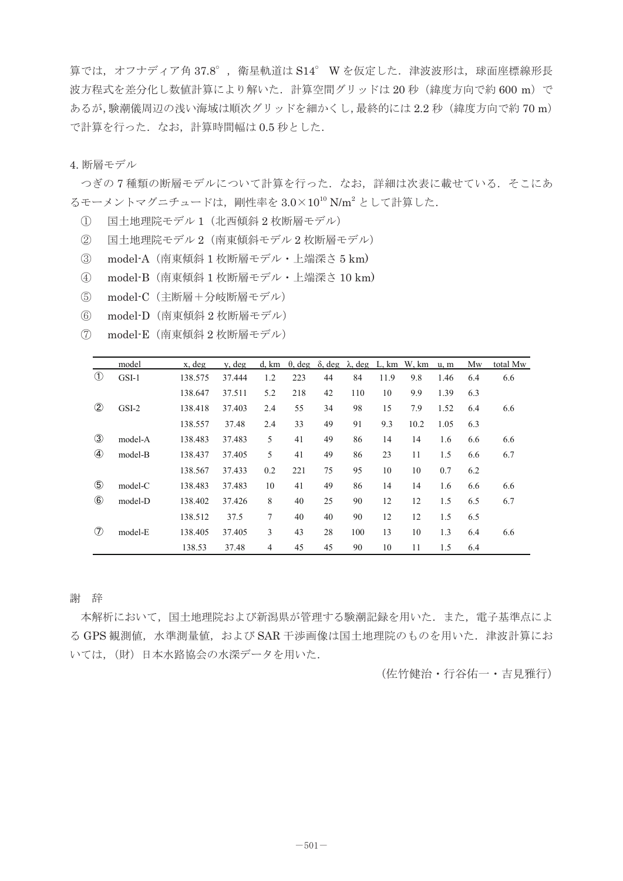算では、オフナディア角 37.8°, 衛星軌道は S14° W を仮定した. 津波波形は、球面座標線形長 波方程式を差分化し数値計算により解いた. 計算空間グリッドは 20秒 (緯度方向で約 600 m)で あるが,験潮儀周辺の浅い海域は順次グリッドを細かくし,最終的には 2.2 秒(緯度方向で約 70 m) で計算を行った. なお、計算時間幅は 0.5 秒とした.

4. 断層モデル

つぎの7種類の断層モデルについて計算を行った. なお、詳細は次表に載せている. そこにあ るモーメントマグニチュードは,剛性率を 3.0×1010 N/m2 として計算した.

- ① 国土地理院モデル 1(北西傾斜 2 枚断層モデル)
- ② 国土地理院モデル 2(南東傾斜モデル 2 枚断層モデル)
- ③ model-A(南東傾斜 1 枚断層モデル・上端深さ 5 km)
- ④ model-B(南東傾斜 1 枚断層モデル・上端深さ 10 km)
- ⑤ model-C(主断層+分岐断層モデル)
- ⑥ model-D(南東傾斜 2 枚断層モデル)
- ⑦ model-E(南東傾斜 2 枚断層モデル)

|                             | model   | x, deg  | y, deg | d. km | $\theta$ , deg | $\delta$ , deg | $\lambda$ , deg | L, km | W, km | u, m | Mw  | total Mw |
|-----------------------------|---------|---------|--------|-------|----------------|----------------|-----------------|-------|-------|------|-----|----------|
| $^{\circ}$                  | $GSI-1$ | 138.575 | 37.444 | 1.2   | 223            | 44             | 84              | 11.9  | 9.8   | 1.46 | 6.4 | 6.6      |
|                             |         | 138.647 | 37.511 | 5.2   | 218            | 42             | 110             | 10    | 9.9   | 1.39 | 6.3 |          |
| $^{\circledR}$              | $GSI-2$ | 138.418 | 37.403 | 2.4   | 55             | 34             | 98              | 15    | 7.9   | 1.52 | 6.4 | 6.6      |
|                             |         | 138.557 | 37.48  | 2.4   | 33             | 49             | 91              | 9.3   | 10.2  | 1.05 | 6.3 |          |
| $\circledS$                 | model-A | 138.483 | 37.483 | 5     | 41             | 49             | 86              | 14    | 14    | 1.6  | 6.6 | 6.6      |
| $\circledA$                 | model-B | 138.437 | 37.405 | 5     | 41             | 49             | 86              | 23    | 11    | 1.5  | 6.6 | 6.7      |
|                             |         | 138.567 | 37.433 | 0.2   | 221            | 75             | 95              | 10    | 10    | 0.7  | 6.2 |          |
| $\circledS$                 | model-C | 138.483 | 37.483 | 10    | 41             | 49             | 86              | 14    | 14    | 1.6  | 6.6 | 6.6      |
| $^{\circ}$                  | model-D | 138.402 | 37.426 | 8     | 40             | 25             | 90              | 12    | 12    | 1.5  | 6.5 | 6.7      |
|                             |         | 138.512 | 37.5   | 7     | 40             | 40             | 90              | 12    | 12    | 1.5  | 6.5 |          |
| $\left( \mathcal{T}\right)$ | model-E | 138.405 | 37.405 | 3     | 43             | 28             | 100             | 13    | 10    | 1.3  | 6.4 | 6.6      |
|                             |         | 138.53  | 37.48  | 4     | 45             | 45             | 90              | 10    | 11    | 1.5  | 6.4 |          |

謝 辞

本解析において,国土地理院および新潟県が管理する験潮記録を用いた.また,電子基準点によ る GPS 観測値,水準測量値,および SAR 干渉画像は国土地理院のものを用いた. 津波計算にお いては,(財)日本水路協会の水深データを用いた.

(佐竹健治・行谷佑一・吉見雅行)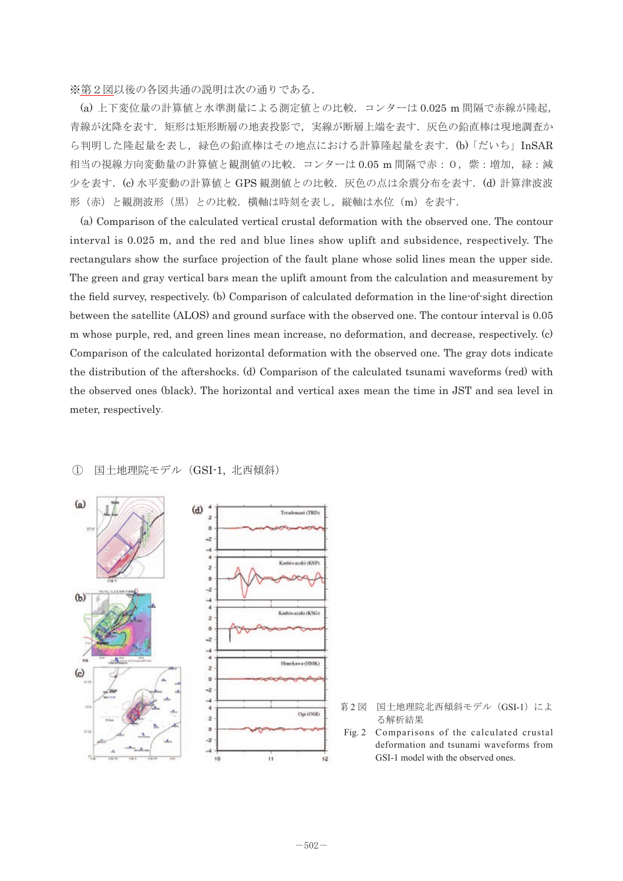※第2図以後の各図共通の説明は次の通りである.

(a) 上下変位量の計算値と水準測量による測定値との比較.コンターは 0.025 m 間隔で赤線が隆起, 青線が沈降を表す.矩形は矩形断層の地表投影で,実線が断層上端を表す.灰色の鉛直棒は現地調査か ら判明した隆起量を表し、緑色の鉛直棒はその地点における計算隆起量を表す. (b) 「だいち」InSAR 相当の視線方向変動量の計算値と観測値の比較.コンターは 0.05 m 間隔で赤 : 0,紫 : 増加,緑 : 減 少を表す. (c) 水平変動の計算値と GPS 観測値との比較.灰色の点は余震分布を表す.(d) 計算津波波 形(赤)と観測波形(黒)との比較. 横軸は時刻を表し, 縦軸は水位(m)を表す. ▎<br>▎▄▖▎▎▗▁▕▗▄▗▚▎▕▏▁▗▗▚▖▗▞▎▕▄▏▗▁▗▖▎▕▅▖▐▃▖▏▕▅▖▓▖▎▚▗▏▖▗▕▕▏▟▖▏ (a) «Адирус» (ахода организация организация организация организация организация организация организация организ<br>Высокольности организация организация организация организация организация организация организация организация ГУ (УЗ') ⊂⊮ШУЛИХАР (ИМ) С УУДЪХ, ГЖТНИЗМ'ЧУЛ)С 2А О, ¶КАТНИЗМУЩ, (Ш) С 2А ).

(a) Comparison of the calculated vertical crustal deformation with the observed one. The contour interval is 0.025 m, and the red and blue lines show uplift and subsidence, respectively. The rectangulars show the surface projection of the fault plane whose solid lines mean the upper side. The green and gray vertical bars mean the uplift amount from the calculation and measurement by the field survey, respectively. (b) Comparison of calculated deformation in the line-of-sight direction between the satellite (ALOS) and ground surface with the observed one. The contour interval is 0.05 m whose purple, red, and green lines mean increase, no deformation, and decrease, respectively. (c) Comparison of the calculated horizontal deformation with the observed one. The gray dots indicate the distribution of the aftershocks. (d) Comparison of the calculated tsunami waveforms (red) with the observed ones (black). The horizontal and vertical axes mean the time in JST and sea level in meter, respectively.  $\frac{1}{100}$  o.020 m, respectively. The rectangulars show the surface product projection of the fault plane whose solid plane whose solid plane whose solid plane whose solid plane whose solid plane whose solid plane whose solid plane whose soli  $\alpha$  calculated deformation  $\alpha$  and  $\beta$  and  $\beta$  and satellite  $\alpha$  and the satellite (ALOS) and  $\beta$ comparison or the calculation horizontal actormation with the observed one. The gray dots in sea level in meter, respectively.



#### $\circ$ 国土地理院モデル (GSI-1, 北西傾斜)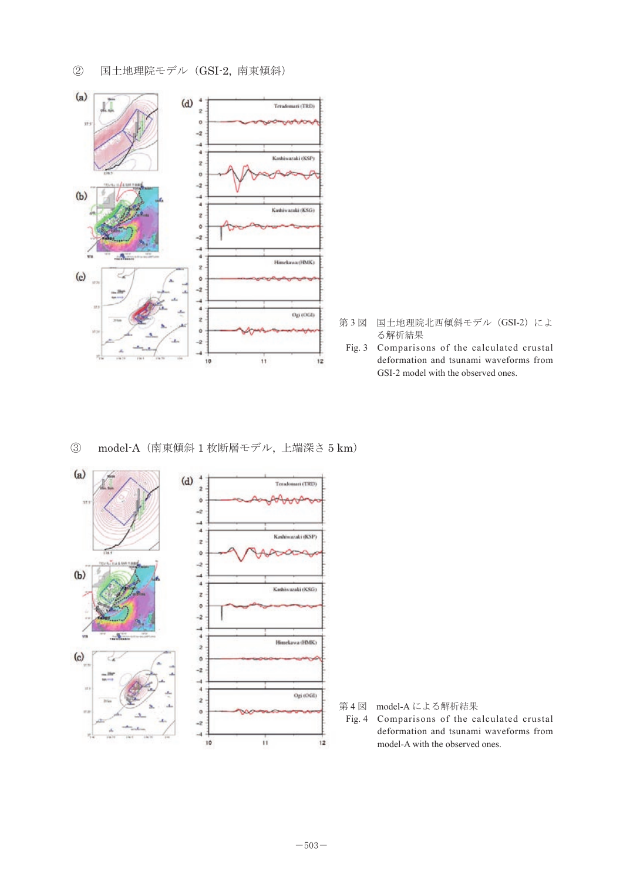$\circledZ$ 国土地理院モデル (GSI-2, 南東傾斜)



- 第3図 国土地理院北西傾斜モデル (GSI-2)によ る解析結果
- Fig. 3 Comparisons of the calculated crustal<br>defermation and truncmi waveforms from deformation and tsunami waveforms from and tsunami waveforms from GSI-2 model with the observed ones. GSI-2 model with the observed

Ԛmodel-A (南東傾斜 1 枚断層モデル, 上端深さ 5 km)



- 第4図 model-A による解析結果
	- Fig. 4 Comparisons of the calculated crustal deformation and tsunami waveforms from model-A with the observed ones.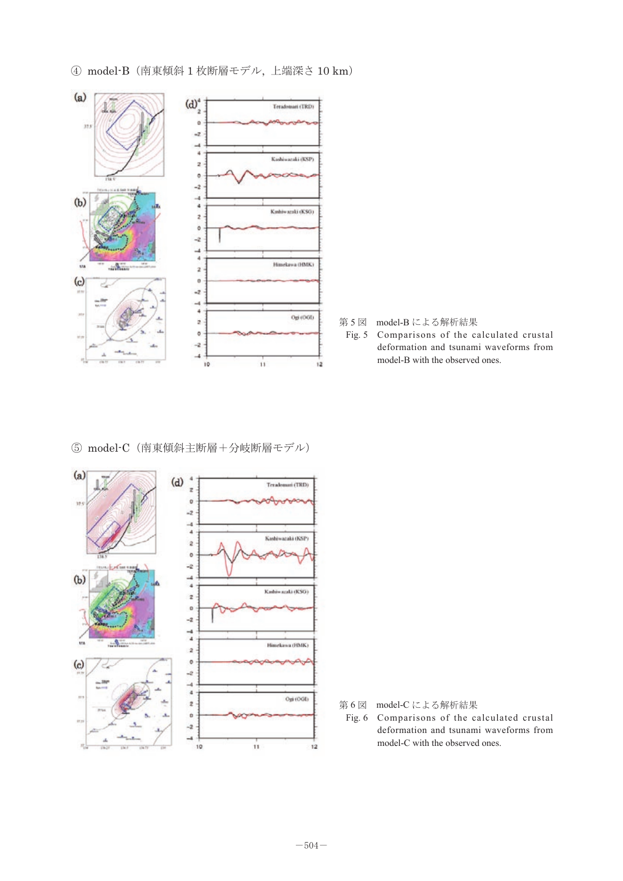

# ④ model-B(南東傾斜 1 枚断層モデル, 上端深さ 10 km)

- 第5図 model-B による解析結果
- 第5図 model-Bによる解析結果<br>Fig.5 Comparisons of the calculated crustal model-B with the observed ones. model-B with the observed ones. deformation and tsunami waveforms from

⑤ model-C (南東傾斜主断層+分岐断層モデル)



- 第 6 図 model-C による解析結果
- Fig. 6 Comparisons of the calculated crustal deformation and tsunami waveforms from model-C with the observed ones.